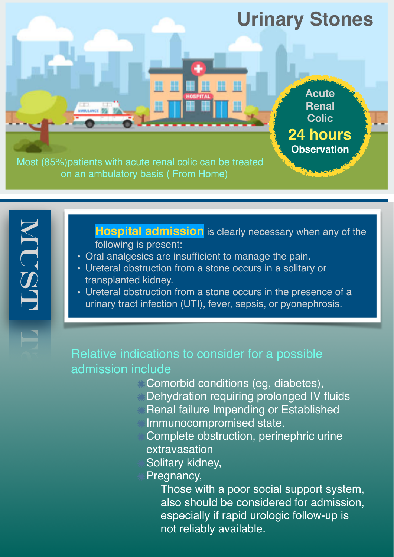

**Hospital admission** is clearly necessary when any of the following is present:

• Oral analgesics are insufficient to manage the pain.

**NUSTRI** 

ISOM

- Ureteral obstruction from a stone occurs in a solitary or transplanted kidney.
- Ureteral obstruction from a stone occurs in the presence of a urinary tract infection (UTI), fever, sepsis, or pyonephrosis.

## Relative indications to consider for a possible admission include

- **Comorbid conditions (eg, diabetes),**
- **EDehydration requiring prolonged IV fluids**
- Renal failure Impending or Established
	- Immunocompromised state.
	- Complete obstruction, perinephric urine extravasation
	- Solitary kidney,
- Pregnancy,

Those with a poor social support system, also should be considered for admission, especially if rapid urologic follow-up is not reliably available.